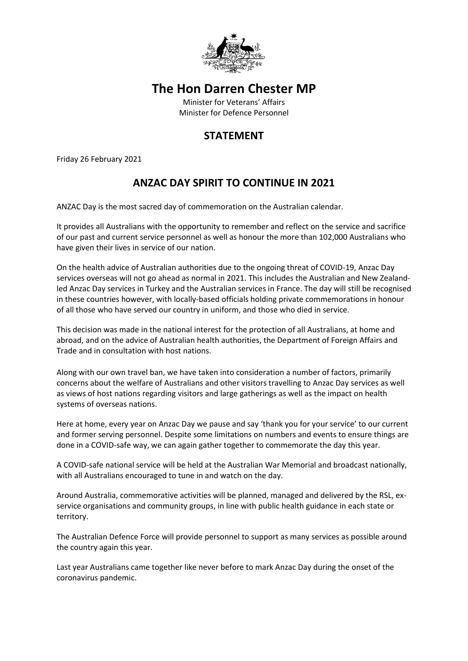

## **The Hon Darren Chester MP**

Minister for Veterans' Affairs Minister for Defence Personnel

## **STATEMENT**

Friday 26 February 2021

## **ANZAC DAY SPIRIT TO CONTINUE IN 2021**

ANZAC Day is the most sacred day of commemoration on the Australian calendar.

It provides all Australians with the opportunity to remember and reflect on the service and sacrifice of our past and current service personnel as well as honour the more than 102,000 Australians who have given their lives in service of our nation.

On the health advice of Australian authorities due to the ongoing threat of COVID-19, Anzac Day services overseas will not go ahead as normal in 2021. This includes the Australian and New Zealandled Anzac Day services in Turkey and the Australian services in France. The day will still be recognised in these countries however, with locally-based officials holding private commemorations in honour of all those who have served our country in uniform, and those who died in service.

This decision was made in the national interest for the protection of all Australians, at home and abroad, and on the advice of Australian health authorities, the Department of Foreign Affairs and Trade and in consultation with host nations.

Along with our own travel ban, we have taken into consideration a number of factors, primarily concerns about the welfare of Australians and other visitors travelling to Anzac Day services as well as views of host nations regarding visitors and large gatherings as well as the impact on health systems of overseas nations.

Here at home, every year on Anzac Day we pause and say 'thank you for your service' to our current and former serving personnel. Despite some limitations on numbers and events to ensure things are done in a COVID-safe way, we can again gather together to commemorate the day this year.

A COVID-safe national service will be held at the Australian War Memorial and broadcast nationally, with all Australians encouraged to tune in and watch on the day.

Around Australia, commemorative activities will be planned, managed and delivered by the RSL, exservice organisations and community groups, in line with public health guidance in each state or territory.

The Australian Defence Force will provide personnel to support as many services as possible around the country again this year.

Last year Australians came together like never before to mark Anzac Day during the onset of the coronavirus pandemic.